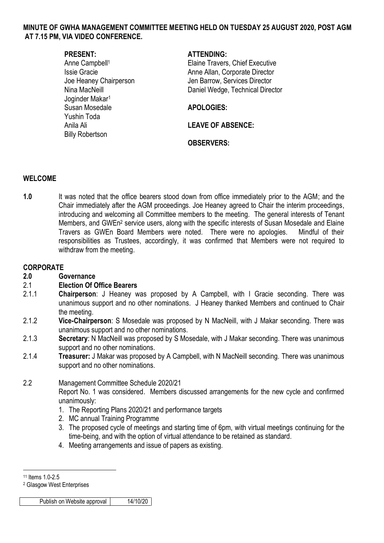### **MINUTE OF GWHA MANAGEMENT COMMITTEE MEETING HELD ON TUESDAY 25 AUGUST 2020, POST AGM AT 7.15 PM, VIA VIDEO CONFERENCE.**

Joginder Makar<sup>1</sup> Susan Mosedale **APOLOGIES:** Yushin Toda Anila Ali **LEAVE OF ABSENCE:**  Billy Robertson

# **PRESENT: ATTENDING:**

Anne Campbell<sup>1</sup> and Elaine Travers, Chief Executive Issie Gracie **Anne Allan, Corporate Director** Anne Allan, Corporate Director Joe Heaney Chairperson Jen Barrow, Services Director Nina MacNeill Daniel Wedge, Technical Director

**OBSERVERS:**

### **WELCOME**

**1.0** It was noted that the office bearers stood down from office immediately prior to the AGM; and the Chair immediately after the AGM proceedings. Joe Heaney agreed to Chair the interim proceedings, introducing and welcoming all Committee members to the meeting. The general interests of Tenant Members, and GWEn<sup>2</sup> service users, along with the specific interests of Susan Mosedale and Elaine Travers as GWEn Board Members were noted. There were no apologies. Mindful of their responsibilities as Trustees, accordingly, it was confirmed that Members were not required to withdraw from the meeting.

### **CORPORATE**

**2.0 Governance**

#### 2.1 **Election Of Office Bearers**

- 2.1.1 **Chairperson**: J Heaney was proposed by A Campbell, with I Gracie seconding. There was unanimous support and no other nominations. J Heaney thanked Members and continued to Chair the meeting.
- 2.1.2 **Vice-Chairperson**: S Mosedale was proposed by N MacNeill, with J Makar seconding. There was unanimous support and no other nominations.
- 2.1.3 **Secretary**: N MacNeill was proposed by S Mosedale, with J Makar seconding. There was unanimous support and no other nominations.
- 2.1.4 **Treasurer:** J Makar was proposed by A Campbell, with N MacNeill seconding. There was unanimous support and no other nominations.

#### 2.2 Management Committee Schedule 2020/21

Report No. 1 was considered. Members discussed arrangements for the new cycle and confirmed unanimously:

- 1. The Reporting Plans 2020/21 and performance targets
- 2. MC annual Training Programme
- 3. The proposed cycle of meetings and starting time of 6pm, with virtual meetings continuing for the time-being, and with the option of virtual attendance to be retained as standard.
- 4. Meeting arrangements and issue of papers as existing.

Publish on Website approval | 14/10/20

<sup>&</sup>lt;u>.</u> 11 Items 1.0-2.5

<sup>2</sup> Glasgow West Enterprises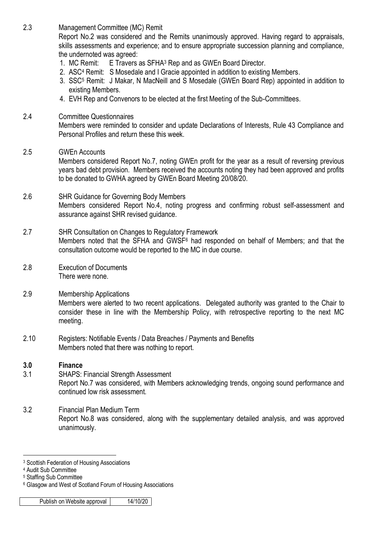2.3 Management Committee (MC) Remit

Report No.2 was considered and the Remits unanimously approved. Having regard to appraisals, skills assessments and experience; and to ensure appropriate succession planning and compliance, the undernoted was agreed:

- 1. MC Remit: E Travers as SFHA<sup>3</sup> Rep and as GWEn Board Director.
- 2. ASC<sup>4</sup> Remit: S Mosedale and I Gracie appointed in addition to existing Members.
- 3. SSC<sup>5</sup> Remit: J Makar, N MacNeill and S Mosedale (GWEn Board Rep) appointed in addition to existing Members.
- 4. EVH Rep and Convenors to be elected at the first Meeting of the Sub-Committees.

# 2.4 Committee Questionnaires

Members were reminded to consider and update Declarations of Interests, Rule 43 Compliance and Personal Profiles and return these this week.

# 2.5 GWEn Accounts

Members considered Report No.7, noting GWEn profit for the year as a result of reversing previous years bad debt provision. Members received the accounts noting they had been approved and profits to be donated to GWHA agreed by GWEn Board Meeting 20/08/20.

# 2.6 SHR Guidance for Governing Body Members Members considered Report No.4, noting progress and confirming robust self-assessment and assurance against SHR revised guidance.

- 2.7 SHR Consultation on Changes to Regulatory Framework Members noted that the SFHA and GWSF<sup>6</sup> had responded on behalf of Members; and that the consultation outcome would be reported to the MC in due course.
- 2.8 Execution of Documents There were none.
- 2.9 Membership Applications Members were alerted to two recent applications. Delegated authority was granted to the Chair to consider these in line with the Membership Policy, with retrospective reporting to the next MC meeting.
- 2.10 Registers: Notifiable Events / Data Breaches / Payments and Benefits Members noted that there was nothing to report.

# **3.0 Finance**

- 3.1 SHAPS: Financial Strength Assessment Report No.7 was considered, with Members acknowledging trends, ongoing sound performance and continued low risk assessment.
- 3.2 Financial Plan Medium Term Report No.8 was considered, along with the supplementary detailed analysis, and was approved unanimously.

1

<sup>3</sup> Scottish Federation of Housing Associations

<sup>4</sup> Audit Sub Committee

<sup>5</sup> Staffing Sub Committee

<sup>6</sup> Glasgow and West of Scotland Forum of Housing Associations